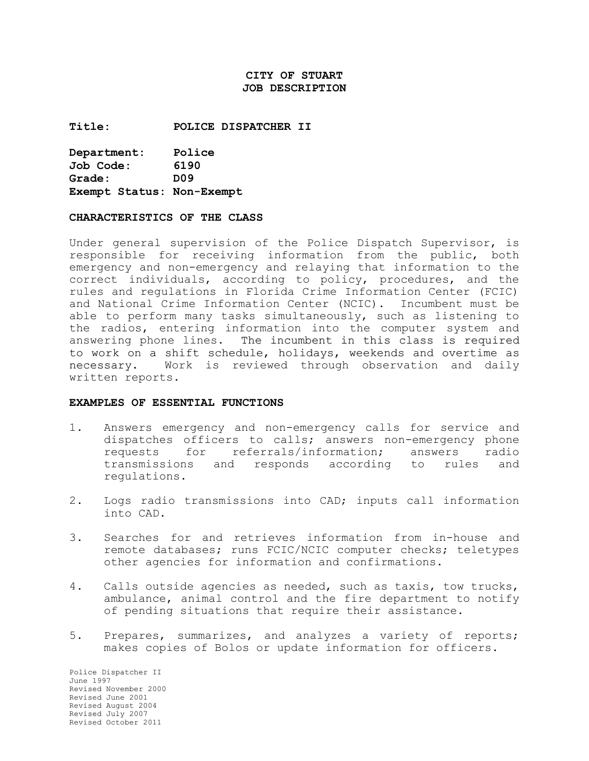# **CITY OF STUART JOB DESCRIPTION**

**Title: POLICE DISPATCHER II** 

**Department: Police Job Code: 6190 Grade: D09 Exempt Status: Non-Exempt** 

#### **CHARACTERISTICS OF THE CLASS**

Under general supervision of the Police Dispatch Supervisor, is responsible for receiving information from the public, both emergency and non-emergency and relaying that information to the correct individuals, according to policy, procedures, and the rules and regulations in Florida Crime Information Center (FCIC) and National Crime Information Center (NCIC). Incumbent must be able to perform many tasks simultaneously, such as listening to the radios, entering information into the computer system and answering phone lines. The incumbent in this class is required to work on a shift schedule, holidays, weekends and overtime as necessary. Work is reviewed through observation and daily written reports.

#### **EXAMPLES OF ESSENTIAL FUNCTIONS**

- 1. Answers emergency and non-emergency calls for service and dispatches officers to calls; answers non-emergency phone requests for referrals/information; answers radio transmissions and responds according to rules and regulations.
- 2. Logs radio transmissions into CAD; inputs call information into CAD.
- 3. Searches for and retrieves information from in-house and remote databases; runs FCIC/NCIC computer checks; teletypes other agencies for information and confirmations.
- 4. Calls outside agencies as needed, such as taxis, tow trucks, ambulance, animal control and the fire department to notify of pending situations that require their assistance.
- 5. Prepares, summarizes, and analyzes a variety of reports; makes copies of Bolos or update information for officers.

Police Dispatcher II June 1997 Revised November 2000 Revised June 2001 Revised August 2004 Revised July 2007 Revised October 2011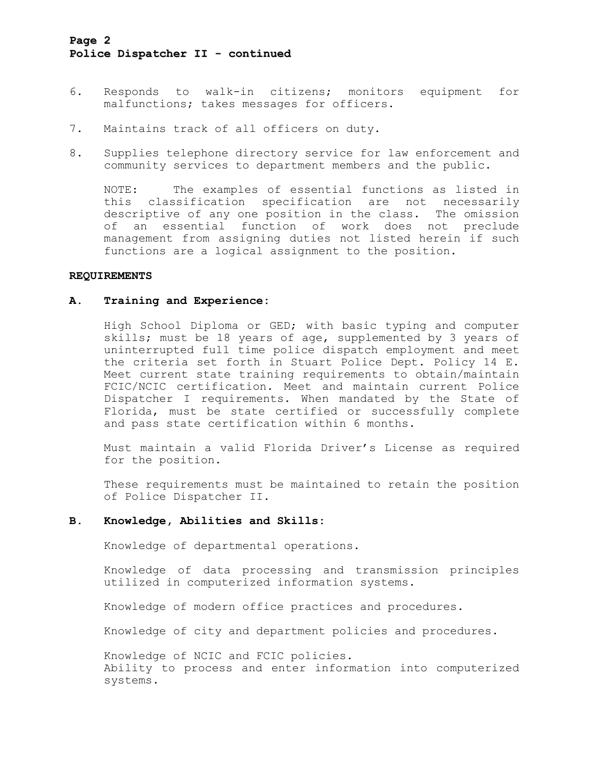# **Page 2 Police Dispatcher II - continued**

- 6. Responds to walk-in citizens; monitors equipment for malfunctions; takes messages for officers.
- 7. Maintains track of all officers on duty.
- 8. Supplies telephone directory service for law enforcement and community services to department members and the public.

NOTE: The examples of essential functions as listed in this classification specification are not necessarily descriptive of any one position in the class. The omission of an essential function of work does not preclude management from assigning duties not listed herein if such functions are a logical assignment to the position.

#### **REQUIREMENTS**

## **A. Training and Experience:**

High School Diploma or GED; with basic typing and computer skills; must be 18 years of age, supplemented by 3 years of uninterrupted full time police dispatch employment and meet the criteria set forth in Stuart Police Dept. Policy 14 E. Meet current state training requirements to obtain/maintain FCIC/NCIC certification. Meet and maintain current Police Dispatcher I requirements. When mandated by the State of Florida, must be state certified or successfully complete and pass state certification within 6 months.

Must maintain a valid Florida Driver's License as required for the position.

These requirements must be maintained to retain the position of Police Dispatcher II.

### **B. Knowledge, Abilities and Skills:**

Knowledge of departmental operations.

Knowledge of data processing and transmission principles utilized in computerized information systems.

Knowledge of modern office practices and procedures.

Knowledge of city and department policies and procedures.

Knowledge of NCIC and FCIC policies. Ability to process and enter information into computerized systems.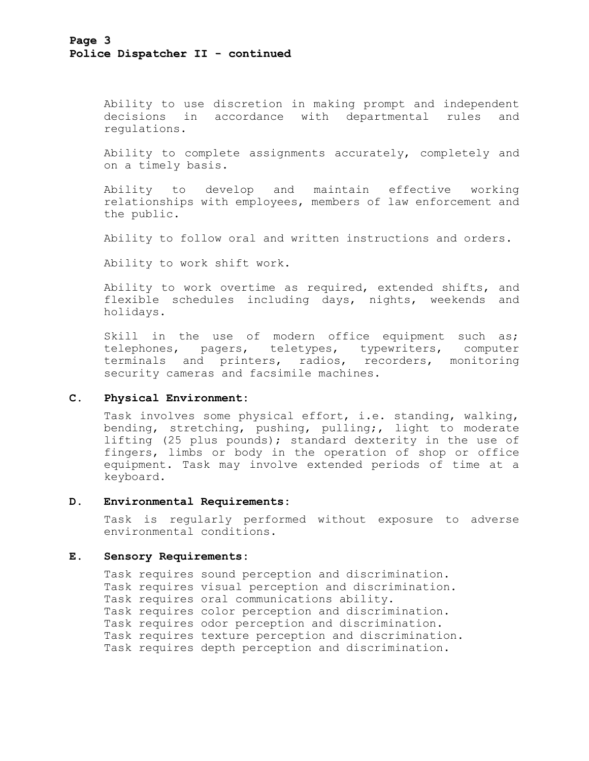Ability to use discretion in making prompt and independent decisions in accordance with departmental rules and regulations.

Ability to complete assignments accurately, completely and on a timely basis.

Ability to develop and maintain effective working relationships with employees, members of law enforcement and the public.

Ability to follow oral and written instructions and orders.

Ability to work shift work.

Ability to work overtime as required, extended shifts, and flexible schedules including days, nights, weekends and holidays.

Skill in the use of modern office equipment such as; telephones, pagers, teletypes, typewriters, computer terminals and printers, radios, recorders, monitoring security cameras and facsimile machines.

### **C. Physical Environment:**

Task involves some physical effort, i.e. standing, walking, bending, stretching, pushing, pulling;, light to moderate lifting (25 plus pounds); standard dexterity in the use of fingers, limbs or body in the operation of shop or office equipment. Task may involve extended periods of time at a keyboard.

### **D. Environmental Requirements:**

Task is regularly performed without exposure to adverse environmental conditions.

#### **E. Sensory Requirements:**

Task requires sound perception and discrimination. Task requires visual perception and discrimination. Task requires oral communications ability. Task requires color perception and discrimination. Task requires odor perception and discrimination. Task requires texture perception and discrimination. Task requires depth perception and discrimination.